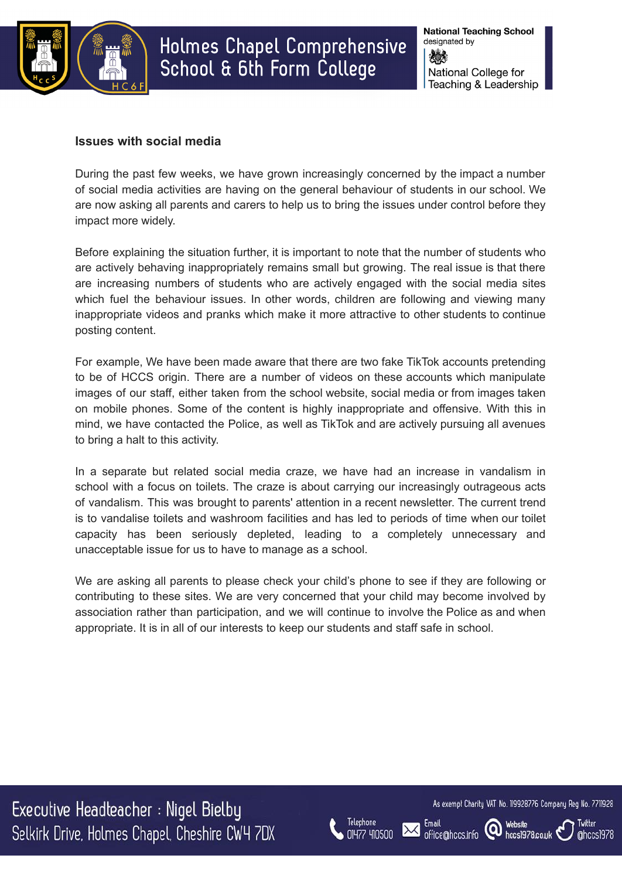

## **Issues with social media**

During the past few weeks, we have grown increasingly concerned by the impact a number of social media activities are having on the general behaviour of students in our school. We are now asking all parents and carers to help us to bring the issues under control before they impact more widely.

Before explaining the situation further, it is important to note that the number of students who are actively behaving inappropriately remains small but growing. The real issue is that there are increasing numbers of students who are actively engaged with the social media sites which fuel the behaviour issues. In other words, children are following and viewing many inappropriate videos and pranks which make it more attractive to other students to continue posting content.

For example, We have been made aware that there are two fake TikTok accounts pretending to be of HCCS origin. There are a number of videos on these accounts which manipulate images of our staff, either taken from the school website, social media or from images taken on mobile phones. Some of the content is highly inappropriate and offensive. With this in mind, we have contacted the Police, as well as TikTok and are actively pursuing all avenues to bring a halt to this activity.

In a separate but related social media craze, we have had an increase in vandalism in school with a focus on toilets. The craze is about carrying our increasingly outrageous acts of vandalism. This was brought to parents' attention in a recent newsletter. The current trend is to vandalise toilets and washroom facilities and has led to periods of time when our toilet capacity has been seriously depleted, leading to a completely unnecessary and unacceptable issue for us to have to manage as a school.

We are asking all parents to please check your child's phone to see if they are following or contributing to these sites. We are very concerned that your child may become involved by association rather than participation, and we will continue to involve the Police as and when appropriate. It is in all of our interests to keep our students and staff safe in school.

Executive Headteacher : Nigel Bielby Selkirk Drive, Holmes Chapel, Cheshire CW4 7DX



Email

office@hccs.info

As exempt Charity VAT No. 119928776 Company Reg No. 7711928

hccs1978.co.uk

**Website** 

 $\omega$ 

Twitter

@hccs1978